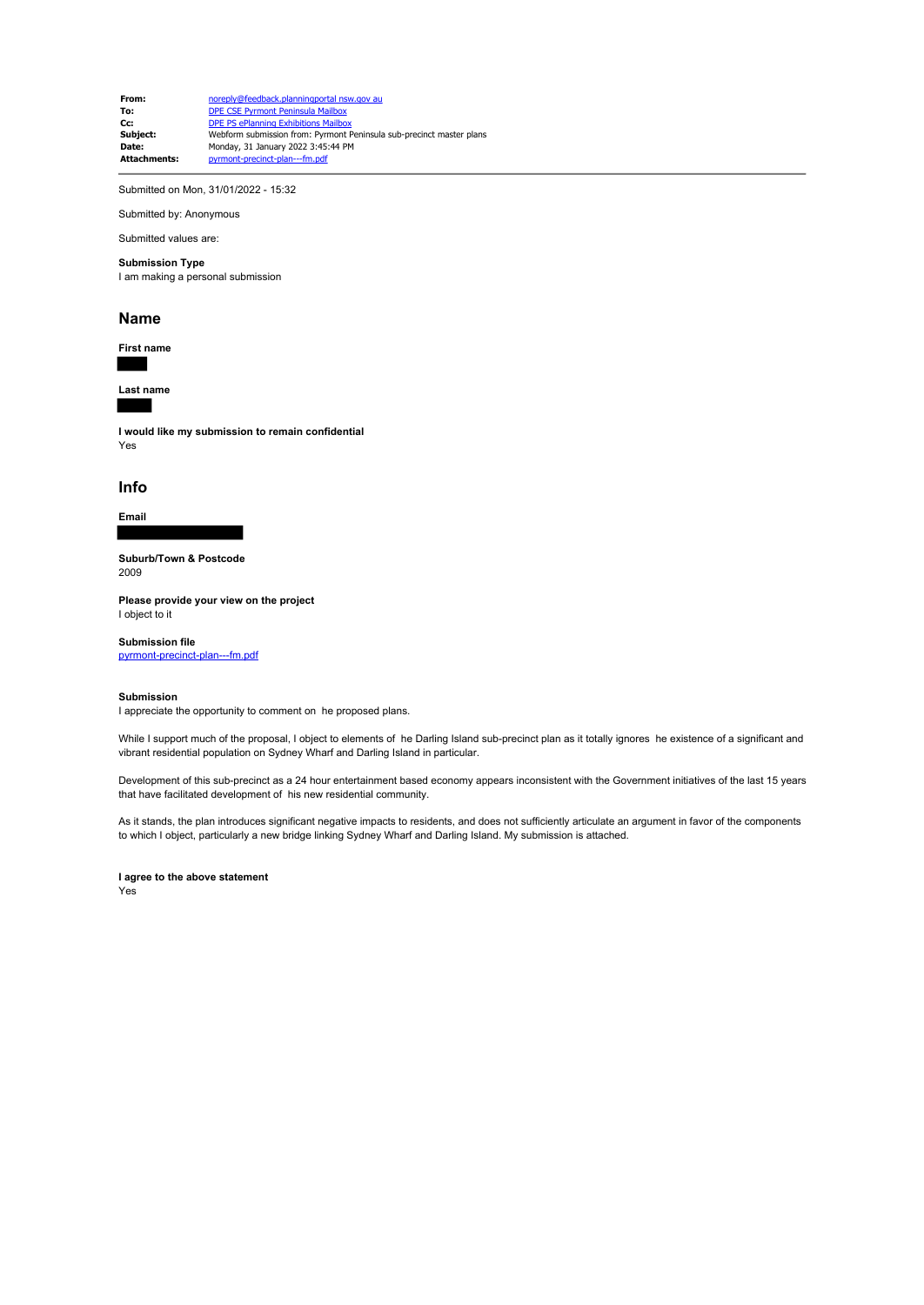**From:** noreply@feedback.planningportal nsw.gov au **To:** DPE CSE Pyrmont Peninsula Mailbox **Cc:** DPE PS ePlanning Exhibitions Mailbox<br> **Subject:** Webform submission from: Pyrmont I **Subject:** Webform submission from: Pyrmont Peninsula sub-precinct master plans<br> **Date:** Monday 31 January 2022 3:45:44 PM **Date:** Monday, 31 January 2022 3:45:44 PM<br> **Attachments: Dyrmont-precinct-plan---fm.pdf Attachments:** pyrmont-precinct-plan---fm.pdf

Submitted on Mon, 31/01/2022 - 15:32

Submitted by: Anonymous

Submitted values are:

# **Submission Type**

I am making a personal submission

#### **Name**

**First name**

**Last name**

**I would like my submission to remain confidential** Yes

### **Info**

# **Email**

**Suburb/Town & Postcode** 2009

**Please provide your view on the project** I object to it

**Submission file** pyrmont-precinct-plan---fm.pdf

# **Submission**

I appreciate the opportunity to comment on he proposed plans.

While I support much of the proposal, I object to elements of he Darling Island sub-precinct plan as it totally ignores he existence of a significant and vibrant residential population on Sydney Wharf and Darling Island in particular.

Development of this sub-precinct as a 24 hour entertainment based economy appears inconsistent with the Government initiatives of the last 15 years that have facilitated development of his new residential community.

As it stands, the plan introduces significant negative impacts to residents, and does not sufficiently articulate an argument in favor of the components to which I object, particularly a new bridge linking Sydney Wharf and Darling Island. My submission is attached.

**I agree to the above statement**

Yes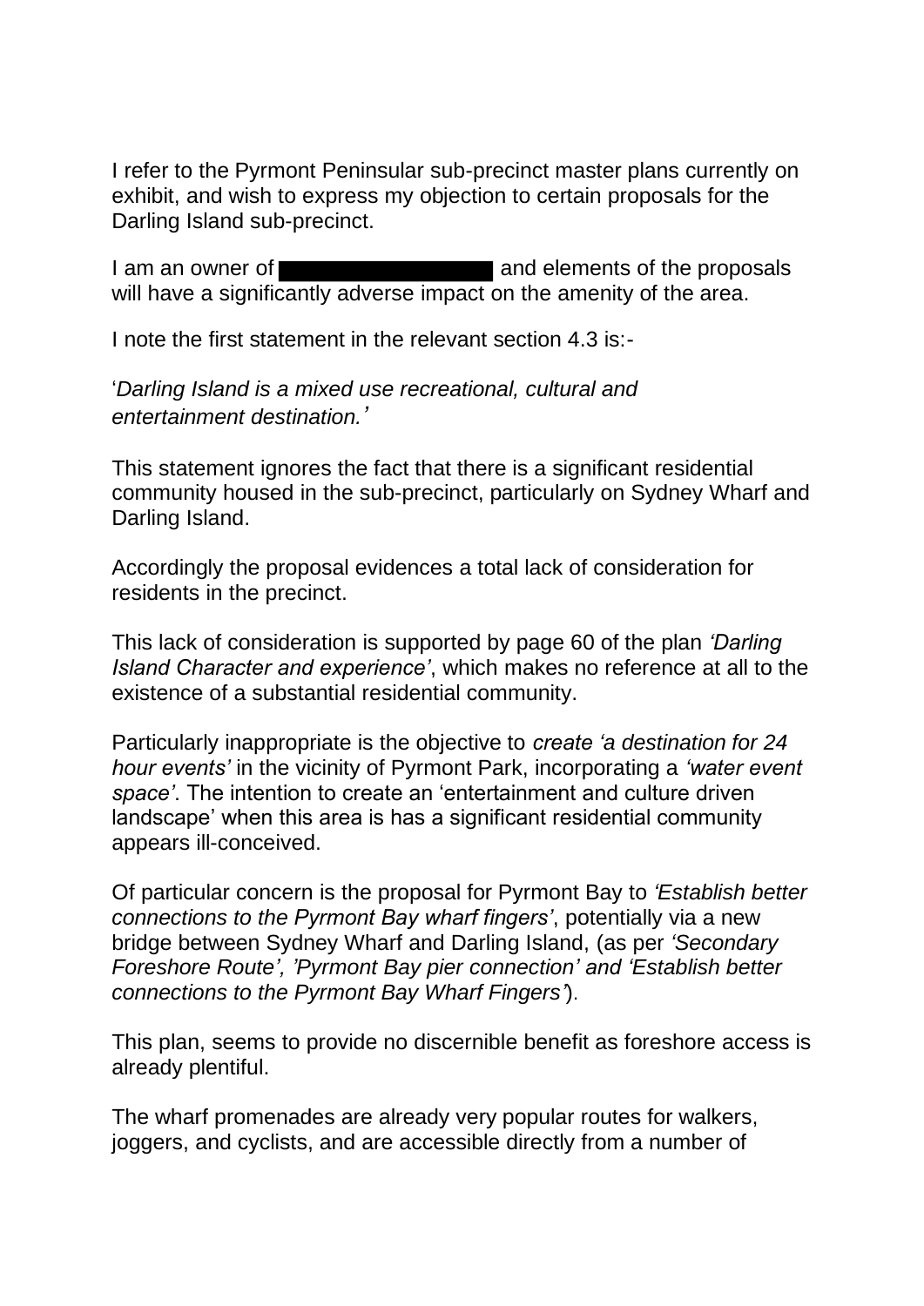I refer to the Pyrmont Peninsular sub-precinct master plans currently on exhibit, and wish to express my objection to certain proposals for the Darling Island sub-precinct.

I am an owner of **All Accords** and elements of the proposals will have a significantly adverse impact on the amenity of the area.

I note the first statement in the relevant section 4.3 is:-

'*Darling Island is a mixed use recreational, cultural and entertainment destination.'*

This statement ignores the fact that there is a significant residential community housed in the sub-precinct, particularly on Sydney Wharf and Darling Island.

Accordingly the proposal evidences a total lack of consideration for residents in the precinct.

This lack of consideration is supported by page 60 of the plan *'Darling Island Character and experience'*, which makes no reference at all to the existence of a substantial residential community.

Particularly inappropriate is the objective to *create 'a destination for 24 hour events'* in the vicinity of Pyrmont Park, incorporating a *'water event space'*. The intention to create an 'entertainment and culture driven landscape' when this area is has a significant residential community appears ill-conceived.

Of particular concern is the proposal for Pyrmont Bay to *'Establish better connections to the Pyrmont Bay wharf fingers'*, potentially via a new bridge between Sydney Wharf and Darling Island, (as per *'Secondary Foreshore Route', 'Pyrmont Bay pier connection' and 'Establish better connections to the Pyrmont Bay Wharf Fingers'*).

This plan, seems to provide no discernible benefit as foreshore access is already plentiful.

The wharf promenades are already very popular routes for walkers, joggers, and cyclists, and are accessible directly from a number of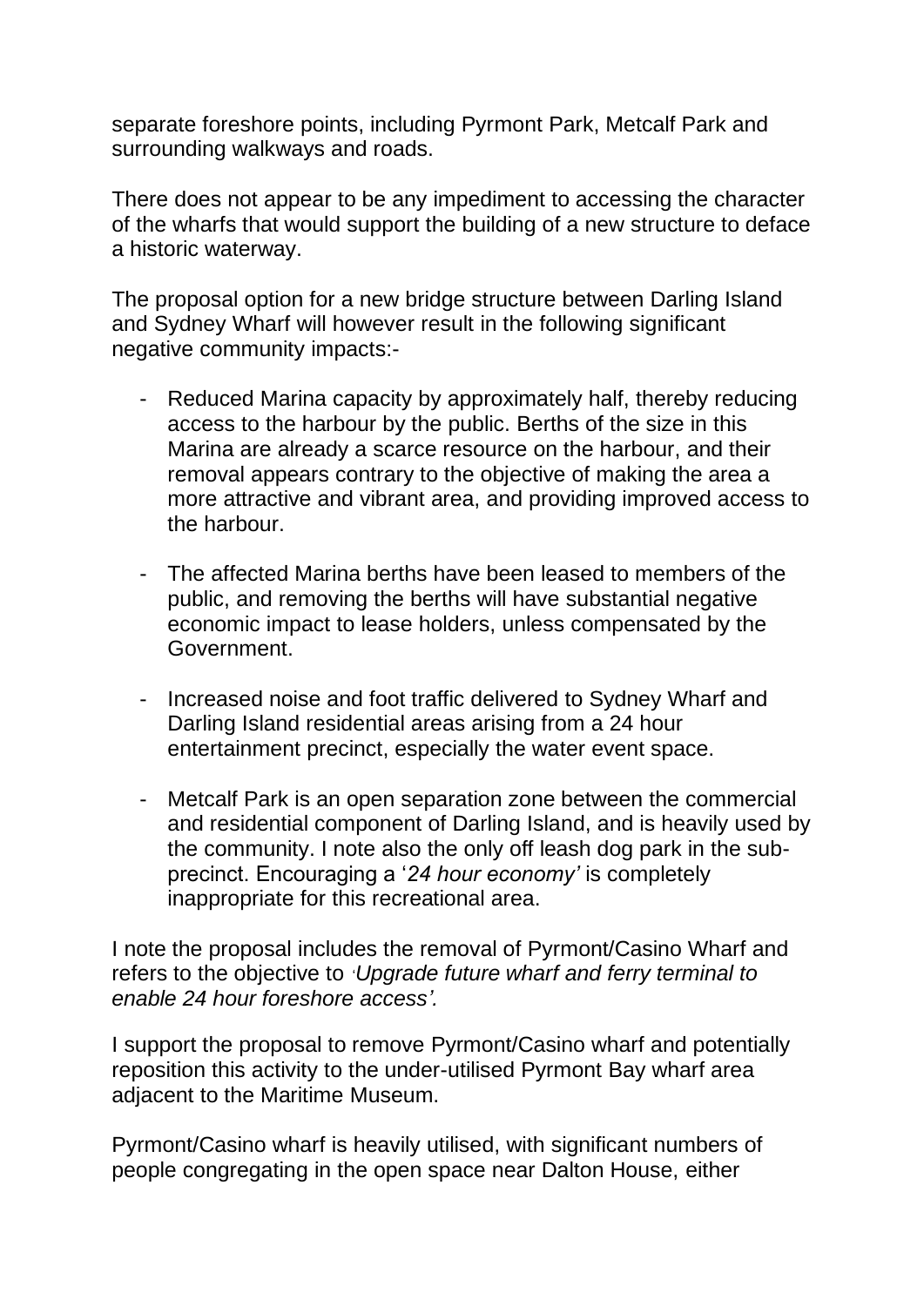separate foreshore points, including Pyrmont Park, Metcalf Park and surrounding walkways and roads.

There does not appear to be any impediment to accessing the character of the wharfs that would support the building of a new structure to deface a historic waterway.

The proposal option for a new bridge structure between Darling Island and Sydney Wharf will however result in the following significant negative community impacts:-

- Reduced Marina capacity by approximately half, thereby reducing access to the harbour by the public. Berths of the size in this Marina are already a scarce resource on the harbour, and their removal appears contrary to the objective of making the area a more attractive and vibrant area, and providing improved access to the harbour.
- The affected Marina berths have been leased to members of the public, and removing the berths will have substantial negative economic impact to lease holders, unless compensated by the Government.
- Increased noise and foot traffic delivered to Sydney Wharf and Darling Island residential areas arising from a 24 hour entertainment precinct, especially the water event space.
- Metcalf Park is an open separation zone between the commercial and residential component of Darling Island, and is heavily used by the community. I note also the only off leash dog park in the subprecinct. Encouraging a '*24 hour economy'* is completely inappropriate for this recreational area.

I note the proposal includes the removal of Pyrmont/Casino Wharf and refers to the objective to '*Upgrade future wharf and ferry terminal to enable 24 hour foreshore access'.*

I support the proposal to remove Pyrmont/Casino wharf and potentially reposition this activity to the under-utilised Pyrmont Bay wharf area adjacent to the Maritime Museum.

Pyrmont/Casino wharf is heavily utilised, with significant numbers of people congregating in the open space near Dalton House, either